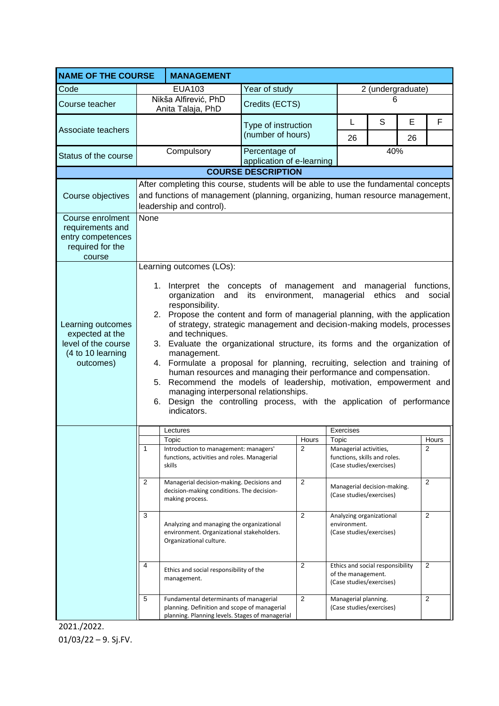| <b>NAME OF THE COURSE</b>                                                                                    |                                                                                                                                                                                                                                                                                                                                                                                                                                                                                                                                                                                                                                                                                                                                                                                                                    | <b>MANAGEMENT</b>                                                                                                 |                                            |                         |                                                                      |                                                                                    |         |                         |  |
|--------------------------------------------------------------------------------------------------------------|--------------------------------------------------------------------------------------------------------------------------------------------------------------------------------------------------------------------------------------------------------------------------------------------------------------------------------------------------------------------------------------------------------------------------------------------------------------------------------------------------------------------------------------------------------------------------------------------------------------------------------------------------------------------------------------------------------------------------------------------------------------------------------------------------------------------|-------------------------------------------------------------------------------------------------------------------|--------------------------------------------|-------------------------|----------------------------------------------------------------------|------------------------------------------------------------------------------------|---------|-------------------------|--|
| Code                                                                                                         |                                                                                                                                                                                                                                                                                                                                                                                                                                                                                                                                                                                                                                                                                                                                                                                                                    | <b>EUA103</b>                                                                                                     | Year of study                              |                         | 2 (undergraduate)                                                    |                                                                                    |         |                         |  |
| Course teacher                                                                                               |                                                                                                                                                                                                                                                                                                                                                                                                                                                                                                                                                                                                                                                                                                                                                                                                                    | Nikša Alfirević, PhD<br>Anita Talaja, PhD                                                                         | Credits (ECTS)                             |                         | 6                                                                    |                                                                                    |         |                         |  |
| Associate teachers                                                                                           |                                                                                                                                                                                                                                                                                                                                                                                                                                                                                                                                                                                                                                                                                                                                                                                                                    |                                                                                                                   | Type of instruction<br>(number of hours)   |                         | L<br>26                                                              | S                                                                                  | E<br>26 | F                       |  |
| Status of the course                                                                                         |                                                                                                                                                                                                                                                                                                                                                                                                                                                                                                                                                                                                                                                                                                                                                                                                                    | Compulsory                                                                                                        | Percentage of<br>application of e-learning |                         |                                                                      | 40%                                                                                |         |                         |  |
|                                                                                                              |                                                                                                                                                                                                                                                                                                                                                                                                                                                                                                                                                                                                                                                                                                                                                                                                                    |                                                                                                                   | <b>COURSE DESCRIPTION</b>                  |                         |                                                                      |                                                                                    |         |                         |  |
| Course objectives<br>Course enrolment<br>requirements and<br>entry competences<br>required for the<br>course | After completing this course, students will be able to use the fundamental concepts<br>and functions of management (planning, organizing, human resource management,<br>leadership and control).<br>None<br>Learning outcomes (LOs):                                                                                                                                                                                                                                                                                                                                                                                                                                                                                                                                                                               |                                                                                                                   |                                            |                         |                                                                      |                                                                                    |         |                         |  |
| Learning outcomes<br>expected at the<br>level of the course<br>(4 to 10 learning<br>outcomes)                | 1. Interpret the concepts of management and managerial functions,<br>organization<br>and its<br>environment,<br>managerial<br>ethics<br>social<br>and<br>responsibility.<br>2. Propose the content and form of managerial planning, with the application<br>of strategy, strategic management and decision-making models, processes<br>and techniques.<br>3. Evaluate the organizational structure, its forms and the organization of<br>management.<br>4. Formulate a proposal for planning, recruiting, selection and training of<br>human resources and managing their performance and compensation.<br>5. Recommend the models of leadership, motivation, empowerment and<br>managing interpersonal relationships.<br>Design the controlling process, with the application of performance<br>6.<br>indicators. |                                                                                                                   |                                            |                         |                                                                      |                                                                                    |         |                         |  |
|                                                                                                              |                                                                                                                                                                                                                                                                                                                                                                                                                                                                                                                                                                                                                                                                                                                                                                                                                    | Lectures                                                                                                          |                                            | Exercises               |                                                                      |                                                                                    |         |                         |  |
|                                                                                                              | $\mathbf{1}$                                                                                                                                                                                                                                                                                                                                                                                                                                                                                                                                                                                                                                                                                                                                                                                                       | Topic<br>Introduction to management: managers'                                                                    |                                            | Hours<br>$\overline{c}$ | Topic<br>Managerial activities,                                      |                                                                                    |         | Hours<br>$\overline{2}$ |  |
|                                                                                                              |                                                                                                                                                                                                                                                                                                                                                                                                                                                                                                                                                                                                                                                                                                                                                                                                                    | functions, activities and roles. Managerial<br>skills                                                             |                                            |                         | functions, skills and roles.<br>(Case studies/exercises)             |                                                                                    |         |                         |  |
|                                                                                                              | 2                                                                                                                                                                                                                                                                                                                                                                                                                                                                                                                                                                                                                                                                                                                                                                                                                  | Managerial decision-making. Decisions and<br>decision-making conditions. The decision-<br>making process.         |                                            | $\overline{c}$          | Managerial decision-making.<br>(Case studies/exercises)              |                                                                                    |         | $\overline{2}$          |  |
|                                                                                                              | 3                                                                                                                                                                                                                                                                                                                                                                                                                                                                                                                                                                                                                                                                                                                                                                                                                  | Analyzing and managing the organizational<br>environment. Organizational stakeholders.<br>Organizational culture. |                                            | $\overline{c}$          | Analyzing organizational<br>environment.<br>(Case studies/exercises) |                                                                                    |         | 2                       |  |
|                                                                                                              | 4                                                                                                                                                                                                                                                                                                                                                                                                                                                                                                                                                                                                                                                                                                                                                                                                                  | Ethics and social responsibility of the<br>management.                                                            |                                            | 2                       |                                                                      | Ethics and social responsibility<br>of the management.<br>(Case studies/exercises) |         | 2                       |  |
|                                                                                                              | 5<br>$\overline{2}$<br>$\overline{2}$<br>Managerial planning.<br>Fundamental determinants of managerial<br>(Case studies/exercises)<br>planning. Definition and scope of managerial<br>planning. Planning levels. Stages of managerial                                                                                                                                                                                                                                                                                                                                                                                                                                                                                                                                                                             |                                                                                                                   |                                            |                         |                                                                      |                                                                                    |         |                         |  |

2021./2022. 01/03/22 – 9. Sj.FV.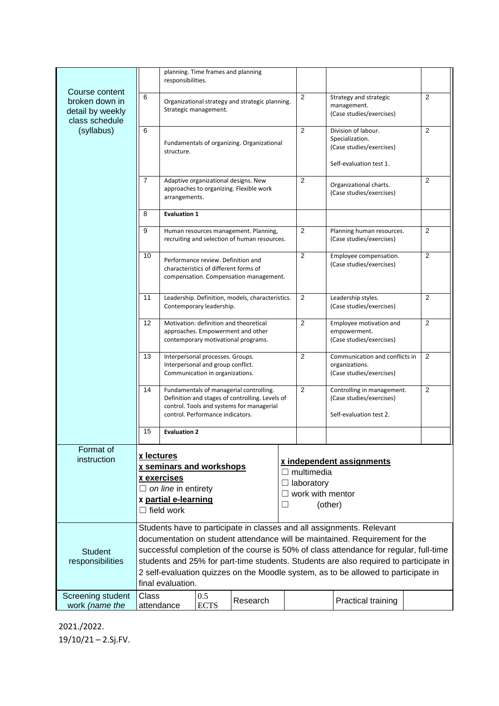|                                                                                      |                                                                                                                                                                                                                                                                                                                                                                          | responsibilities.                                        | planning. Time frames and planning |          |                |                                                                                             |                                                                                               |   |  |  |
|--------------------------------------------------------------------------------------|--------------------------------------------------------------------------------------------------------------------------------------------------------------------------------------------------------------------------------------------------------------------------------------------------------------------------------------------------------------------------|----------------------------------------------------------|------------------------------------|----------|----------------|---------------------------------------------------------------------------------------------|-----------------------------------------------------------------------------------------------|---|--|--|
| Course content<br>broken down in<br>detail by weekly<br>class schedule<br>(syllabus) | 6<br>Organizational strategy and strategic planning.<br>Strategic management.                                                                                                                                                                                                                                                                                            |                                                          |                                    |          | 2              | Strategy and strategic<br>management.<br>(Case studies/exercises)                           | 2                                                                                             |   |  |  |
|                                                                                      | 6                                                                                                                                                                                                                                                                                                                                                                        | Fundamentals of organizing. Organizational<br>structure. |                                    |          |                | 2                                                                                           | Division of labour.<br>Specialization.<br>(Case studies/exercises)<br>Self-evaluation test 1. | 2 |  |  |
|                                                                                      | 7<br>Adaptive organizational designs. New<br>approaches to organizing. Flexible work<br>arrangements.                                                                                                                                                                                                                                                                    |                                                          |                                    |          | $\overline{2}$ | Organizational charts.<br>(Case studies/exercises)                                          | 2                                                                                             |   |  |  |
|                                                                                      | 8                                                                                                                                                                                                                                                                                                                                                                        | <b>Evaluation 1</b>                                      |                                    |          |                |                                                                                             |                                                                                               |   |  |  |
|                                                                                      | 9<br>Human resources management. Planning,<br>recruiting and selection of human resources.                                                                                                                                                                                                                                                                               |                                                          |                                    |          |                | $\overline{2}$                                                                              | Planning human resources.<br>(Case studies/exercises)                                         | 2 |  |  |
|                                                                                      | 10<br>Performance review. Definition and<br>characteristics of different forms of<br>compensation. Compensation management.                                                                                                                                                                                                                                              |                                                          |                                    |          | $\overline{2}$ | Employee compensation.<br>(Case studies/exercises)                                          | 2                                                                                             |   |  |  |
|                                                                                      | 11<br>Leadership. Definition, models, characteristics.<br>Contemporary leadership.                                                                                                                                                                                                                                                                                       |                                                          |                                    |          |                | 2                                                                                           | Leadership styles.<br>(Case studies/exercises)                                                | 2 |  |  |
|                                                                                      | 12<br>Motivation: definition and theoretical<br>approaches. Empowerment and other<br>contemporary motivational programs.<br>13<br>Interpersonal processes. Groups.<br>Interpersonal and group conflict.<br>Communication in organizations.                                                                                                                               |                                                          |                                    |          |                | 2                                                                                           | Employee motivation and<br>empowerment.<br>(Case studies/exercises)                           | 2 |  |  |
|                                                                                      |                                                                                                                                                                                                                                                                                                                                                                          |                                                          |                                    |          |                | $\overline{2}$                                                                              | Communication and conflicts in<br>organizations.<br>(Case studies/exercises)                  | 2 |  |  |
|                                                                                      | 14<br>Fundamentals of managerial controlling.<br>Definition and stages of controlling. Levels of<br>control. Tools and systems for managerial<br>control. Performance indicators.                                                                                                                                                                                        |                                                          |                                    |          |                | 2                                                                                           | Controlling in management.<br>(Case studies/exercises)<br>Self-evaluation test 2.             | 2 |  |  |
|                                                                                      | 15<br><b>Evaluation 2</b>                                                                                                                                                                                                                                                                                                                                                |                                                          |                                    |          |                |                                                                                             |                                                                                               |   |  |  |
| Format of<br>instruction                                                             | x lectures<br>x seminars and workshops<br>x exercises<br>$\Box$ on line in entirety<br>x partial e-learning<br>$\Box$ field work                                                                                                                                                                                                                                         |                                                          |                                    |          |                | x independent assignments<br>$\Box$ multimedia<br>laboratory<br>work with mentor<br>(other) |                                                                                               |   |  |  |
|                                                                                      | Students have to participate in classes and all assignments. Relevant                                                                                                                                                                                                                                                                                                    |                                                          |                                    |          |                |                                                                                             |                                                                                               |   |  |  |
| <b>Student</b><br>responsibilities                                                   | documentation on student attendance will be maintained. Requirement for the<br>successful completion of the course is 50% of class attendance for regular, full-time<br>students and 25% for part-time students. Students are also required to participate in<br>2 self-evaluation quizzes on the Moodle system, as to be allowed to participate in<br>final evaluation. |                                                          |                                    |          |                |                                                                                             |                                                                                               |   |  |  |
| Screening student<br>work (name the                                                  | Class<br>attendance                                                                                                                                                                                                                                                                                                                                                      |                                                          | 0.5<br><b>ECTS</b>                 | Research |                |                                                                                             | Practical training                                                                            |   |  |  |

2021./2022. 19/10/21 – 2.Sj.FV.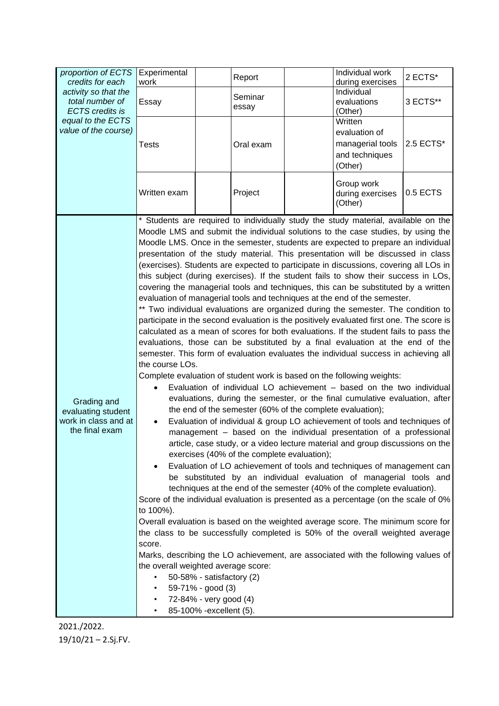| proportion of ECTS<br>credits for each<br>activity so that the<br>total number of<br><b>ECTS</b> credits is<br>equal to the ECTS<br>value of the course) | Experimental<br>work                                                                                                                                                                                                                                                                                                                                                                                                                                                                                                                                                                                                                                                                                                                                                                                                                                                                                                                                                                                                                                                                                                                                                                                                                                                                                                                                                                                                                                                                                                                                                                                                                                                                                                                                                                                                                                                                                                                                                                                                                                                                                                                                                                                                                                                                                                                                                                                                                                                                          | Report           |  | Individual work<br>during exercises                                       | 2 ECTS*   |  |  |
|----------------------------------------------------------------------------------------------------------------------------------------------------------|-----------------------------------------------------------------------------------------------------------------------------------------------------------------------------------------------------------------------------------------------------------------------------------------------------------------------------------------------------------------------------------------------------------------------------------------------------------------------------------------------------------------------------------------------------------------------------------------------------------------------------------------------------------------------------------------------------------------------------------------------------------------------------------------------------------------------------------------------------------------------------------------------------------------------------------------------------------------------------------------------------------------------------------------------------------------------------------------------------------------------------------------------------------------------------------------------------------------------------------------------------------------------------------------------------------------------------------------------------------------------------------------------------------------------------------------------------------------------------------------------------------------------------------------------------------------------------------------------------------------------------------------------------------------------------------------------------------------------------------------------------------------------------------------------------------------------------------------------------------------------------------------------------------------------------------------------------------------------------------------------------------------------------------------------------------------------------------------------------------------------------------------------------------------------------------------------------------------------------------------------------------------------------------------------------------------------------------------------------------------------------------------------------------------------------------------------------------------------------------------------|------------------|--|---------------------------------------------------------------------------|-----------|--|--|
|                                                                                                                                                          | Essay                                                                                                                                                                                                                                                                                                                                                                                                                                                                                                                                                                                                                                                                                                                                                                                                                                                                                                                                                                                                                                                                                                                                                                                                                                                                                                                                                                                                                                                                                                                                                                                                                                                                                                                                                                                                                                                                                                                                                                                                                                                                                                                                                                                                                                                                                                                                                                                                                                                                                         | Seminar<br>essay |  | Individual<br>evaluations<br>(Other)                                      | 3 ECTS**  |  |  |
|                                                                                                                                                          | <b>Tests</b>                                                                                                                                                                                                                                                                                                                                                                                                                                                                                                                                                                                                                                                                                                                                                                                                                                                                                                                                                                                                                                                                                                                                                                                                                                                                                                                                                                                                                                                                                                                                                                                                                                                                                                                                                                                                                                                                                                                                                                                                                                                                                                                                                                                                                                                                                                                                                                                                                                                                                  | Oral exam        |  | Written<br>evaluation of<br>managerial tools<br>and techniques<br>(Other) | 2.5 ECTS* |  |  |
|                                                                                                                                                          | Written exam                                                                                                                                                                                                                                                                                                                                                                                                                                                                                                                                                                                                                                                                                                                                                                                                                                                                                                                                                                                                                                                                                                                                                                                                                                                                                                                                                                                                                                                                                                                                                                                                                                                                                                                                                                                                                                                                                                                                                                                                                                                                                                                                                                                                                                                                                                                                                                                                                                                                                  | Project          |  | Group work<br>during exercises<br>(Other)                                 | 0.5 ECTS  |  |  |
| Grading and<br>evaluating student<br>work in class and at<br>the final exam                                                                              | * Students are required to individually study the study material, available on the<br>Moodle LMS and submit the individual solutions to the case studies, by using the<br>Moodle LMS. Once in the semester, students are expected to prepare an individual<br>presentation of the study material. This presentation will be discussed in class<br>(exercises). Students are expected to participate in discussions, covering all LOs in<br>this subject (during exercises). If the student fails to show their success in LOs,<br>covering the managerial tools and techniques, this can be substituted by a written<br>evaluation of managerial tools and techniques at the end of the semester.<br>** Two individual evaluations are organized during the semester. The condition to<br>participate in the second evaluation is the positively evaluated first one. The score is<br>calculated as a mean of scores for both evaluations. If the student fails to pass the<br>evaluations, those can be substituted by a final evaluation at the end of the<br>semester. This form of evaluation evaluates the individual success in achieving all<br>the course LOs.<br>Complete evaluation of student work is based on the following weights:<br>Evaluation of individual LO achievement - based on the two individual<br>evaluations, during the semester, or the final cumulative evaluation, after<br>the end of the semester (60% of the complete evaluation);<br>Evaluation of individual & group LO achievement of tools and techniques of<br>$\bullet$<br>management - based on the individual presentation of a professional<br>article, case study, or a video lecture material and group discussions on the<br>exercises (40% of the complete evaluation);<br>Evaluation of LO achievement of tools and techniques of management can<br>be substituted by an individual evaluation of managerial tools and<br>techniques at the end of the semester (40% of the complete evaluation).<br>Score of the individual evaluation is presented as a percentage (on the scale of 0%<br>to 100%).<br>Overall evaluation is based on the weighted average score. The minimum score for<br>the class to be successfully completed is 50% of the overall weighted average<br>score.<br>Marks, describing the LO achievement, are associated with the following values of<br>the overall weighted average score:<br>50-58% - satisfactory (2)<br>59-71% - good (3)<br>72-84% - very good (4) |                  |  |                                                                           |           |  |  |

2021./2022. 19/10/21 – 2.Sj.FV.